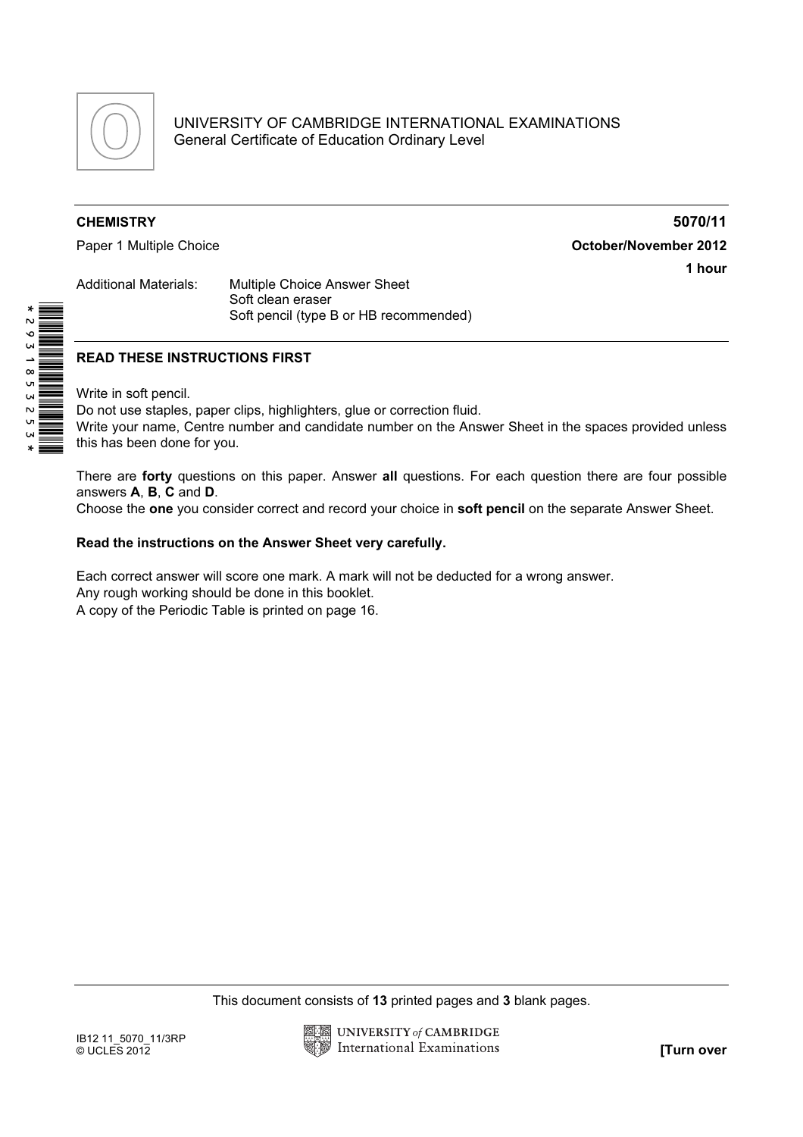

CHEMISTRY 5070/11 Paper 1 Multiple Choice **October/November 2012** 1 hour

Additional Materials: Multiple Choice Answer Sheet Soft clean eraser Soft pencil (type B or HB recommended)

# READ THESE INSTRUCTIONS FIRST

Write in soft pencil.

8 5 3

Do not use staples, paper clips, highlighters, glue or correction fluid.

Write your name, Centre number and candidate number on the Answer Sheet in the spaces provided unless this has been done for you.

There are forty questions on this paper. Answer all questions. For each question there are four possible answers A, B, C and D.

Choose the one you consider correct and record your choice in soft pencil on the separate Answer Sheet.

### Read the instructions on the Answer Sheet very carefully.

Each correct answer will score one mark. A mark will not be deducted for a wrong answer. Any rough working should be done in this booklet. A copy of the Periodic Table is printed on page 16.

This document consists of 13 printed pages and 3 blank pages.

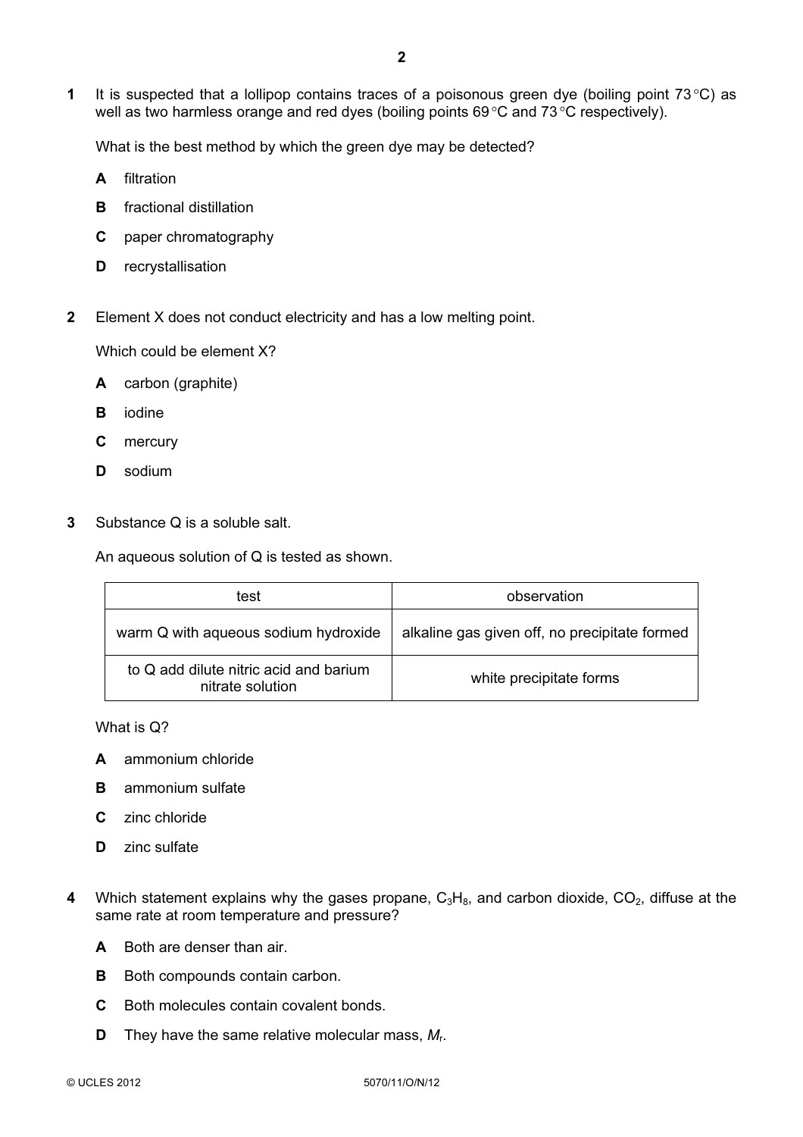1 It is suspected that a lollipop contains traces of a poisonous green dye (boiling point  $73^{\circ}$ C) as well as two harmless orange and red dyes (boiling points 69°C and 73°C respectively).

What is the best method by which the green dye may be detected?

- A filtration
- **B** fractional distillation
- C paper chromatography
- D recrystallisation
- 2 Element X does not conduct electricity and has a low melting point.

Which could be element X?

- A carbon (graphite)
- B iodine
- C mercury
- D sodium
- 3 Substance Q is a soluble salt.

An aqueous solution of Q is tested as shown.

| test                                                       | observation                                   |
|------------------------------------------------------------|-----------------------------------------------|
| warm Q with aqueous sodium hydroxide                       | alkaline gas given off, no precipitate formed |
| to Q add dilute nitric acid and barium<br>nitrate solution | white precipitate forms                       |

What is Q?

- A ammonium chloride
- **B** ammonium sulfate
- C zinc chloride
- **D** zinc sulfate
- 4 Which statement explains why the gases propane,  $C_3H_8$ , and carbon dioxide,  $CO_2$ , diffuse at the same rate at room temperature and pressure?
	- A Both are denser than air.
	- **B** Both compounds contain carbon.
	- C Both molecules contain covalent bonds.
	- **D** They have the same relative molecular mass,  $M_r$ .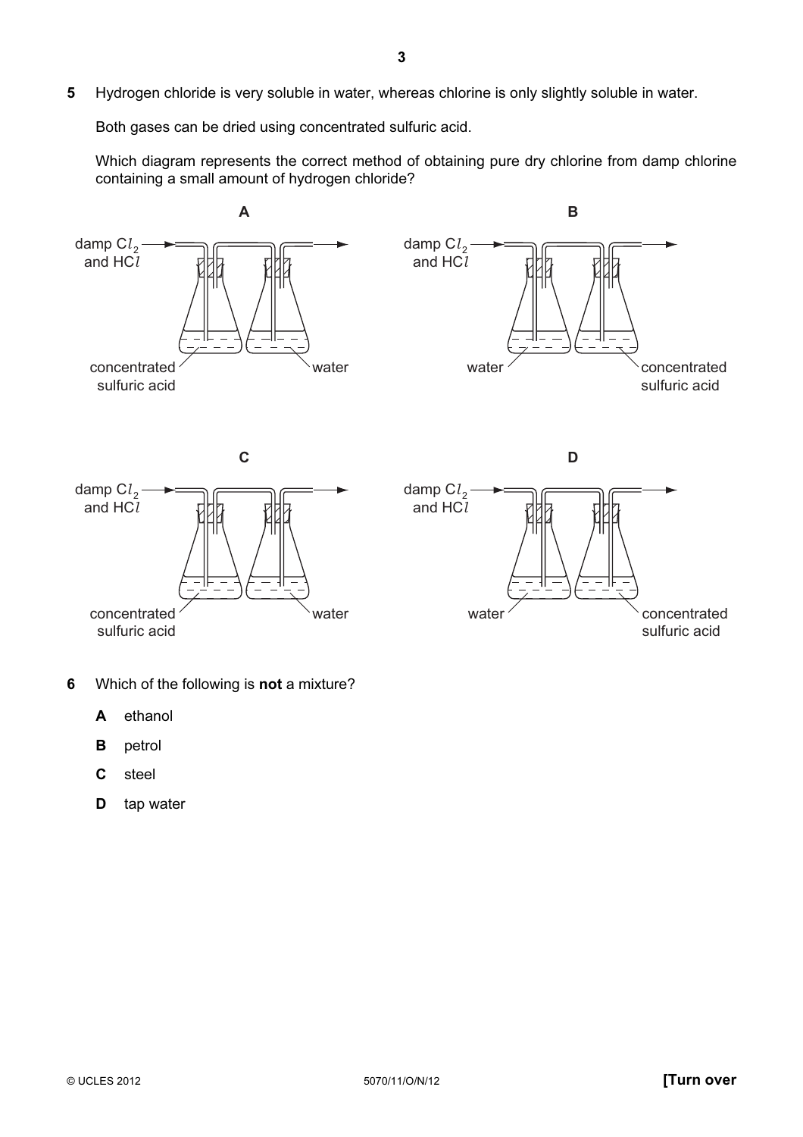5 Hydrogen chloride is very soluble in water, whereas chlorine is only slightly soluble in water.

Both gases can be dried using concentrated sulfuric acid.

Which diagram represents the correct method of obtaining pure dry chlorine from damp chlorine containing a small amount of hydrogen chloride?



- 6 Which of the following is not a mixture?
	- A ethanol
	- B petrol
	- C steel
	- D tap water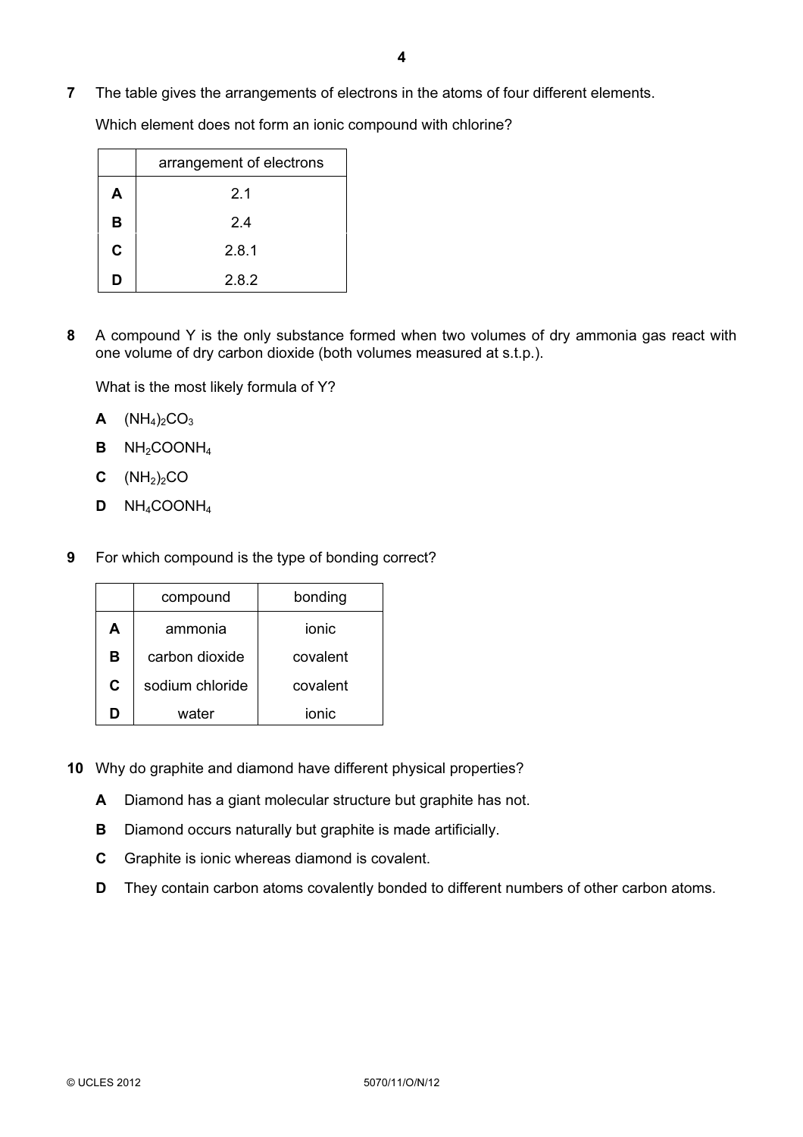7 The table gives the arrangements of electrons in the atoms of four different elements.

Which element does not form an ionic compound with chlorine?

|   | arrangement of electrons |
|---|--------------------------|
| А | 2.1                      |
| в | 24                       |
| C | 2.8.1                    |
|   | 2.8.2                    |

8 A compound Y is the only substance formed when two volumes of dry ammonia gas react with one volume of dry carbon dioxide (both volumes measured at s.t.p.).

What is the most likely formula of Y?

- $A$  (NH<sub>4</sub>)<sub>2</sub>CO<sub>3</sub>
- $\mathbf{B}$  NH<sub>2</sub>COONH<sub>4</sub>
- $C$  (NH<sub>2</sub>)<sub>2</sub>CO
- D NH<sub>4</sub>COONH<sub>4</sub>
- 9 For which compound is the type of bonding correct?

|   | compound        | bonding  |
|---|-----------------|----------|
| A | ammonia         | ionic    |
| в | carbon dioxide  | covalent |
| C | sodium chloride | covalent |
| n | water           | ionic    |

- 10 Why do graphite and diamond have different physical properties?
	- A Diamond has a giant molecular structure but graphite has not.
	- **B** Diamond occurs naturally but graphite is made artificially.
	- C Graphite is ionic whereas diamond is covalent.
	- D They contain carbon atoms covalently bonded to different numbers of other carbon atoms.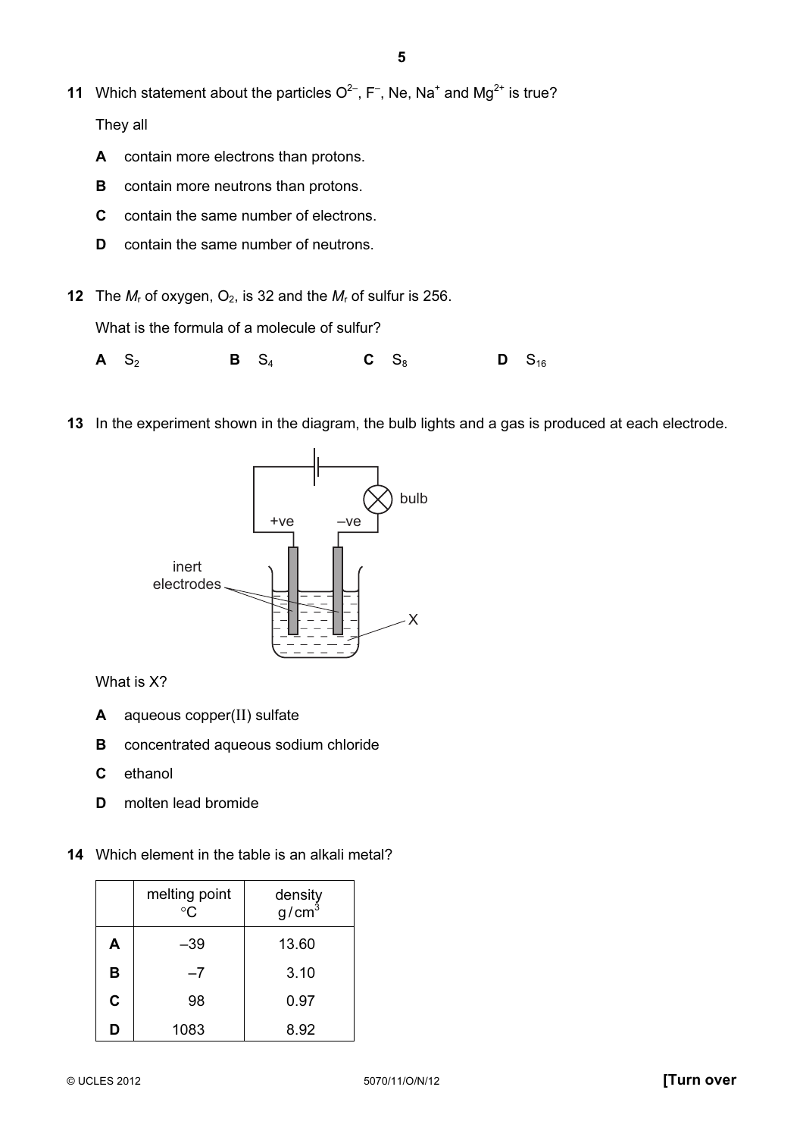**11** Which statement about the particles  $O^{2-}$ ,  $F^-$ , Ne, Na<sup>+</sup> and Mg<sup>2+</sup> is true?

They all

- A contain more electrons than protons.
- **B** contain more neutrons than protons.
- C contain the same number of electrons.
- D contain the same number of neutrons.
- **12** The  $M_r$  of oxygen,  $O_2$ , is 32 and the  $M_r$  of sulfur is 256.

What is the formula of a molecule of sulfur?

**A** S<sub>2</sub> **B** S<sub>4</sub> **C** S<sub>8</sub> **D** S<sub>16</sub>

13 In the experiment shown in the diagram, the bulb lights and a gas is produced at each electrode.



What is X?

- A aqueous copper(II) sulfate
- B concentrated aqueous sodium chloride
- C ethanol
- D molten lead bromide
- 14 Which element in the table is an alkali metal?

|   | melting point<br>$\circ$ C | density<br>$g/cm^3$ |
|---|----------------------------|---------------------|
| Α | -39                        | 13.60               |
| B | -7                         | 3.10                |
| Ć | 98                         | 0.97                |
| D | 1083                       | 8.92                |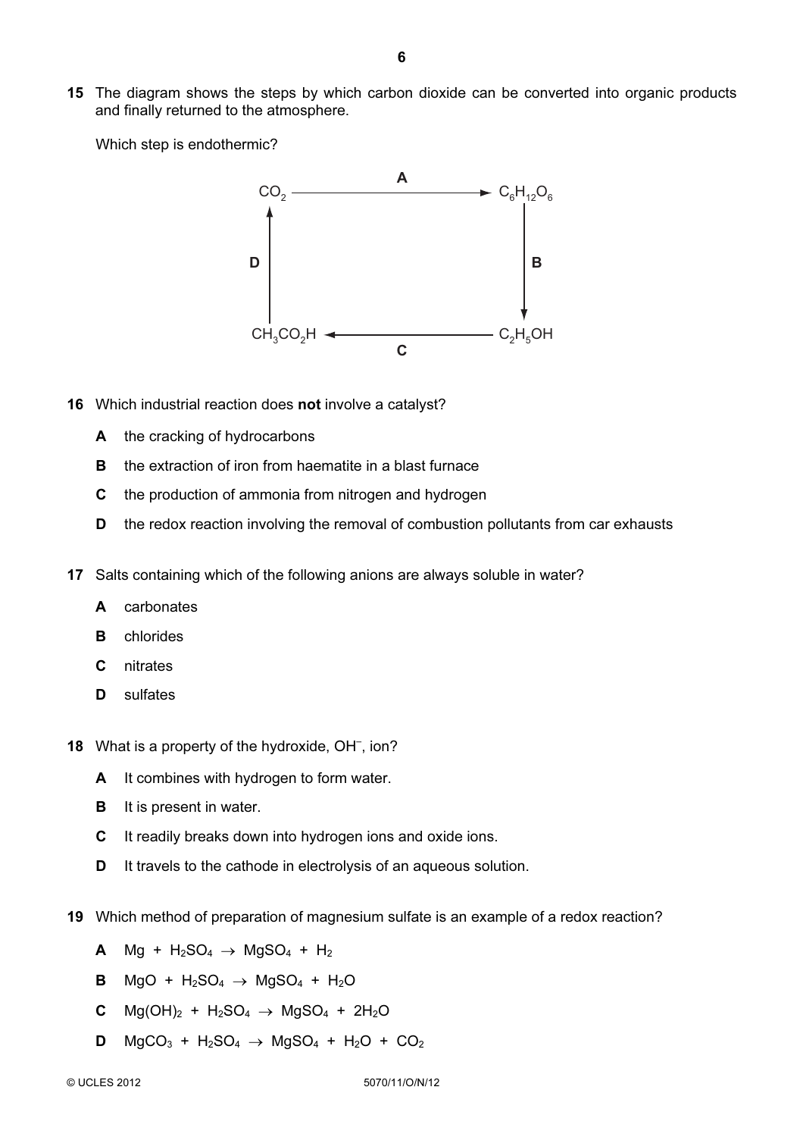Which step is endothermic?



- 16 Which industrial reaction does not involve a catalyst?
	- A the cracking of hydrocarbons
	- **B** the extraction of iron from haematite in a blast furnace
	- C the production of ammonia from nitrogen and hydrogen
	- D the redox reaction involving the removal of combustion pollutants from car exhausts
- 17 Salts containing which of the following anions are always soluble in water?
	- A carbonates
	- **B** chlorides
	- C nitrates
	- D sulfates
- 18 What is a property of the hydroxide, OH<sup>-</sup>, ion?
	- A It combines with hydrogen to form water.
	- **B** It is present in water.
	- C It readily breaks down into hydrogen ions and oxide ions.
	- D It travels to the cathode in electrolysis of an aqueous solution.
- 19 Which method of preparation of magnesium sulfate is an example of a redox reaction?
	- A Mg +  $H_2SO_4 \rightarrow MgSO_4 + H_2$
	- **B** MgO +  $H_2SO_4 \rightarrow MgSO_4 + H_2O$
	- C Mg(OH)<sub>2</sub> + H<sub>2</sub>SO<sub>4</sub>  $\rightarrow$  MgSO<sub>4</sub> + 2H<sub>2</sub>O
	- **D**  $MgCO_3 + H_2SO_4 \rightarrow MgSO_4 + H_2O + CO_2$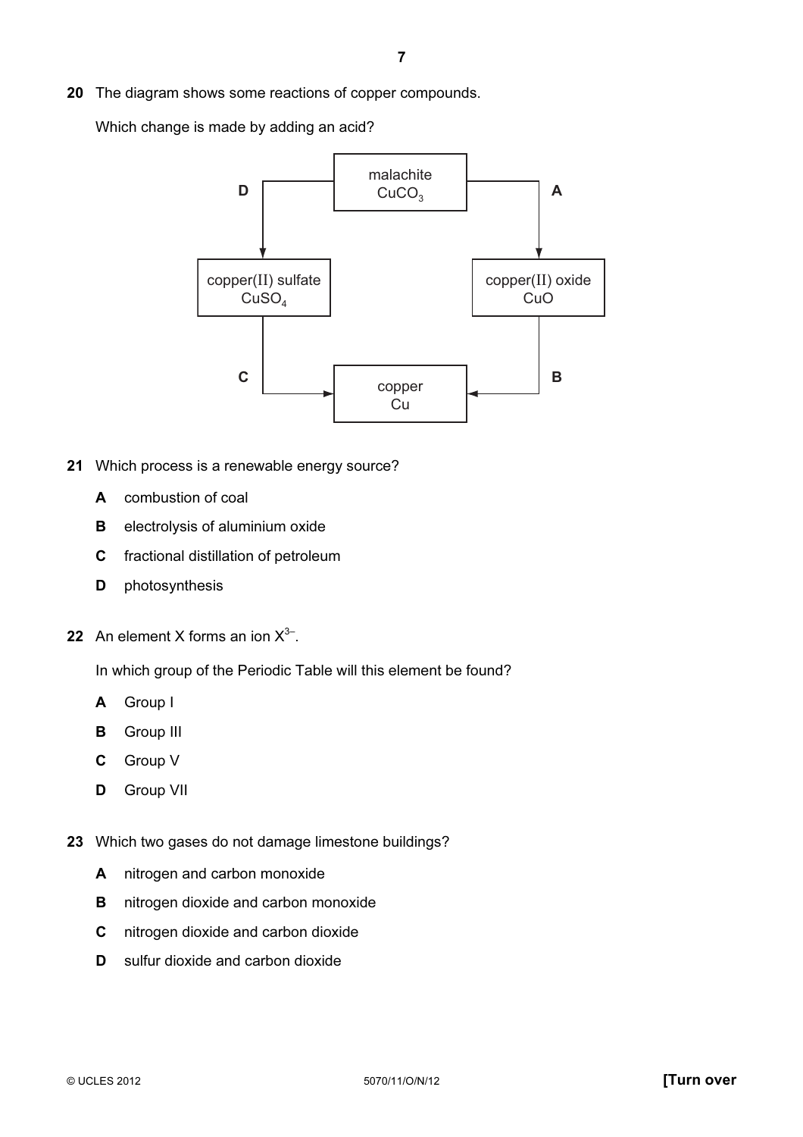20 The diagram shows some reactions of copper compounds.

Which change is made by adding an acid?



- 21 Which process is a renewable energy source?
	- A combustion of coal
	- **B** electrolysis of aluminium oxide
	- C fractional distillation of petroleum
	- D photosynthesis
- 22 An element X forms an ion  $X^{3-}$ .

In which group of the Periodic Table will this element be found?

- A Group I
- **B** Group III
- C Group V
- D Group VII
- 23 Which two gases do not damage limestone buildings?
	- A nitrogen and carbon monoxide
	- **B** nitrogen dioxide and carbon monoxide
	- C nitrogen dioxide and carbon dioxide
	- **D** sulfur dioxide and carbon dioxide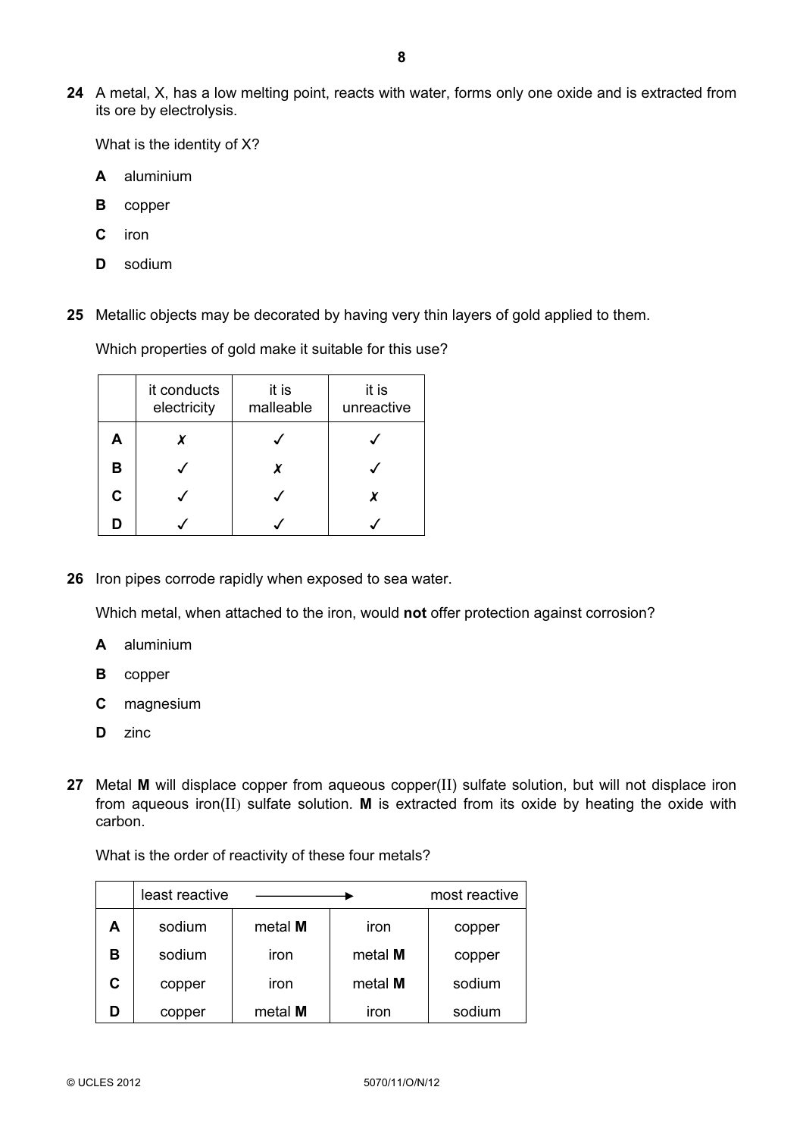24 A metal, X, has a low melting point, reacts with water, forms only one oxide and is extracted from its ore by electrolysis.

What is the identity of X?

- A aluminium
- B copper
- C iron
- D sodium
- 25 Metallic objects may be decorated by having very thin layers of gold applied to them.

Which properties of gold make it suitable for this use?

|   | it conducts<br>electricity | it is<br>malleable | it is<br>unreactive |
|---|----------------------------|--------------------|---------------------|
| А |                            |                    |                     |
| в |                            | x                  |                     |
| C |                            |                    | x                   |
| n |                            |                    |                     |

26 Iron pipes corrode rapidly when exposed to sea water.

Which metal, when attached to the iron, would not offer protection against corrosion?

- A aluminium
- B copper
- C magnesium
- D zinc
- 27 Metal M will displace copper from aqueous copper(II) sulfate solution, but will not displace iron from aqueous iron(II*)* sulfate solution. M is extracted from its oxide by heating the oxide with carbon.

What is the order of reactivity of these four metals?

|   | least reactive |         |         | most reactive |
|---|----------------|---------|---------|---------------|
| А | sodium         | metal M | iron    | copper        |
| в | sodium         | iron    | metal M | copper        |
| C | copper         | iron    | metal M | sodium        |
|   | copper         | metal M | iron    | sodium        |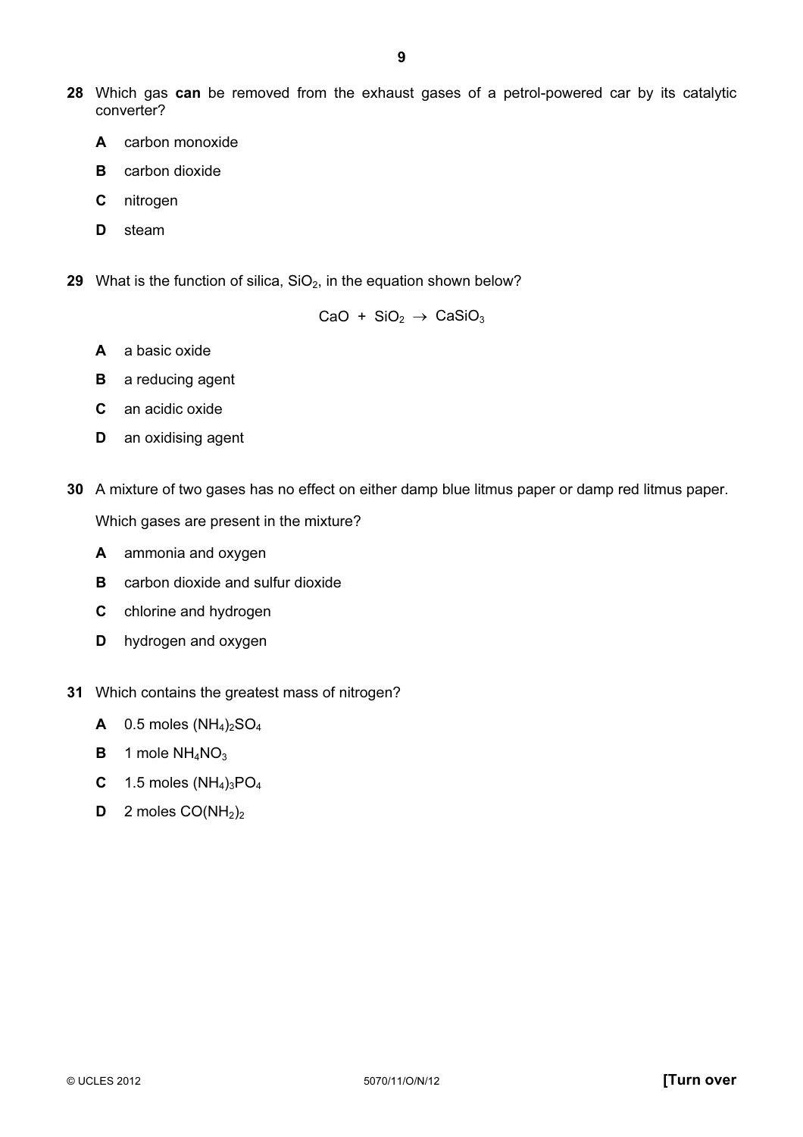- 28 Which gas can be removed from the exhaust gases of a petrol-powered car by its catalytic converter?
	- A carbon monoxide
	- **B** carbon dioxide
	- C nitrogen
	- D steam
- 29 What is the function of silica,  $SiO<sub>2</sub>$ , in the equation shown below?

CaO +  $SiO<sub>2</sub>$   $\rightarrow$  CaSiO<sub>3</sub>

- A a basic oxide
- **B** a reducing agent
- C an acidic oxide
- **D** an oxidising agent
- 30 A mixture of two gases has no effect on either damp blue litmus paper or damp red litmus paper. Which gases are present in the mixture?
	- A ammonia and oxygen
	- **B** carbon dioxide and sulfur dioxide
	- C chlorine and hydrogen
	- D hydrogen and oxygen
- 31 Which contains the greatest mass of nitrogen?
	- **A** 0.5 moles  $(NH_4)_2SO_4$
	- **B** 1 mole  $NH<sub>4</sub>NO<sub>3</sub>$
	- **C** 1.5 moles  $(NH_4)_3PO_4$
	- **D** 2 moles  $CO(NH<sub>2</sub>)<sub>2</sub>$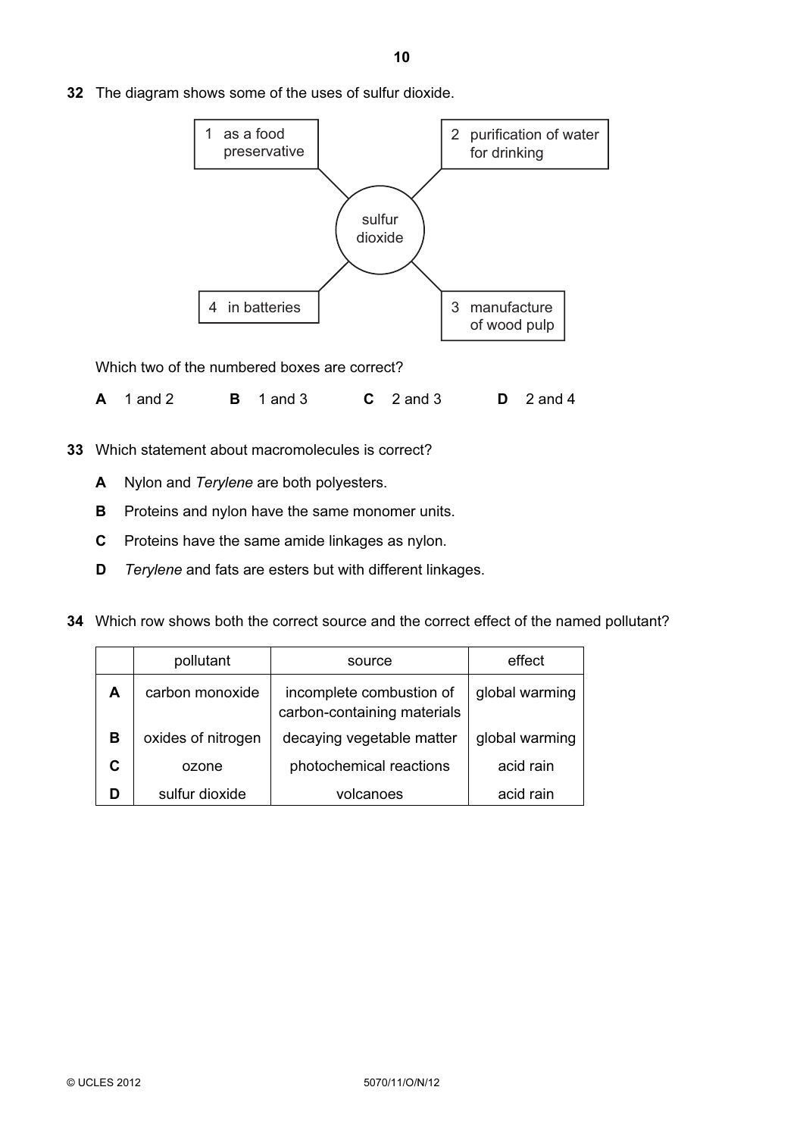32 The diagram shows some of the uses of sulfur dioxide.



Which two of the numbered boxes are correct?

| $A \quad 1 \text{ and } 2$ | $\mathsf B$ 1 and 3 | $C2$ and 3 | $D \quad 2$ and 4 |
|----------------------------|---------------------|------------|-------------------|
|                            |                     |            |                   |

- 33 Which statement about macromolecules is correct?
	- A Nylon and Terylene are both polyesters.
	- **B** Proteins and nylon have the same monomer units.
	- C Proteins have the same amide linkages as nylon.
	- D Terylene and fats are esters but with different linkages.
- 34 Which row shows both the correct source and the correct effect of the named pollutant?

|   | pollutant          | source                                                  | effect         |
|---|--------------------|---------------------------------------------------------|----------------|
| A | carbon monoxide    | incomplete combustion of<br>carbon-containing materials | global warming |
| в | oxides of nitrogen | decaying vegetable matter                               | global warming |
| C | ozone              | photochemical reactions                                 | acid rain      |
|   | sulfur dioxide     | volcanoes                                               | acid rain      |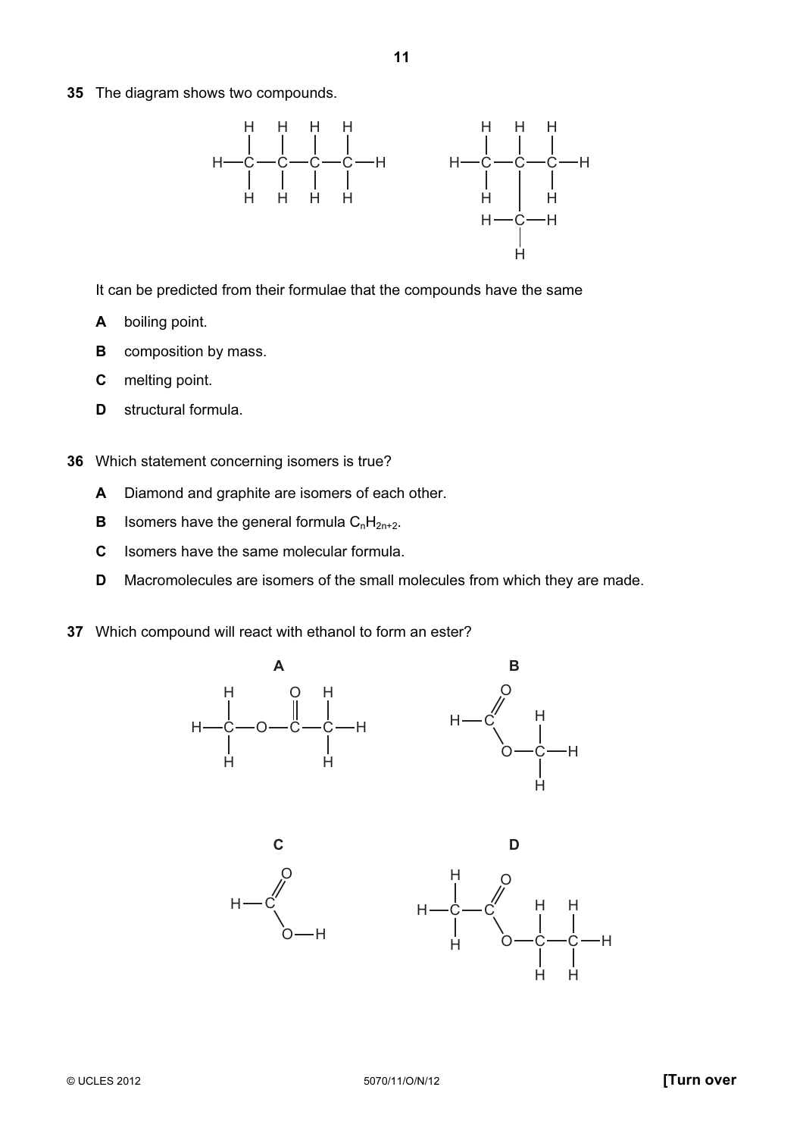35 The diagram shows two compounds.



It can be predicted from their formulae that the compounds have the same

- A boiling point.
- **B** composition by mass.
- C melting point.
- D structural formula.
- 36 Which statement concerning isomers is true?
	- A Diamond and graphite are isomers of each other.
	- **B** Isomers have the general formula  $C_nH_{2n+2}$ .
	- C Isomers have the same molecular formula.
	- D Macromolecules are isomers of the small molecules from which they are made.
- 37 Which compound will react with ethanol to form an ester?

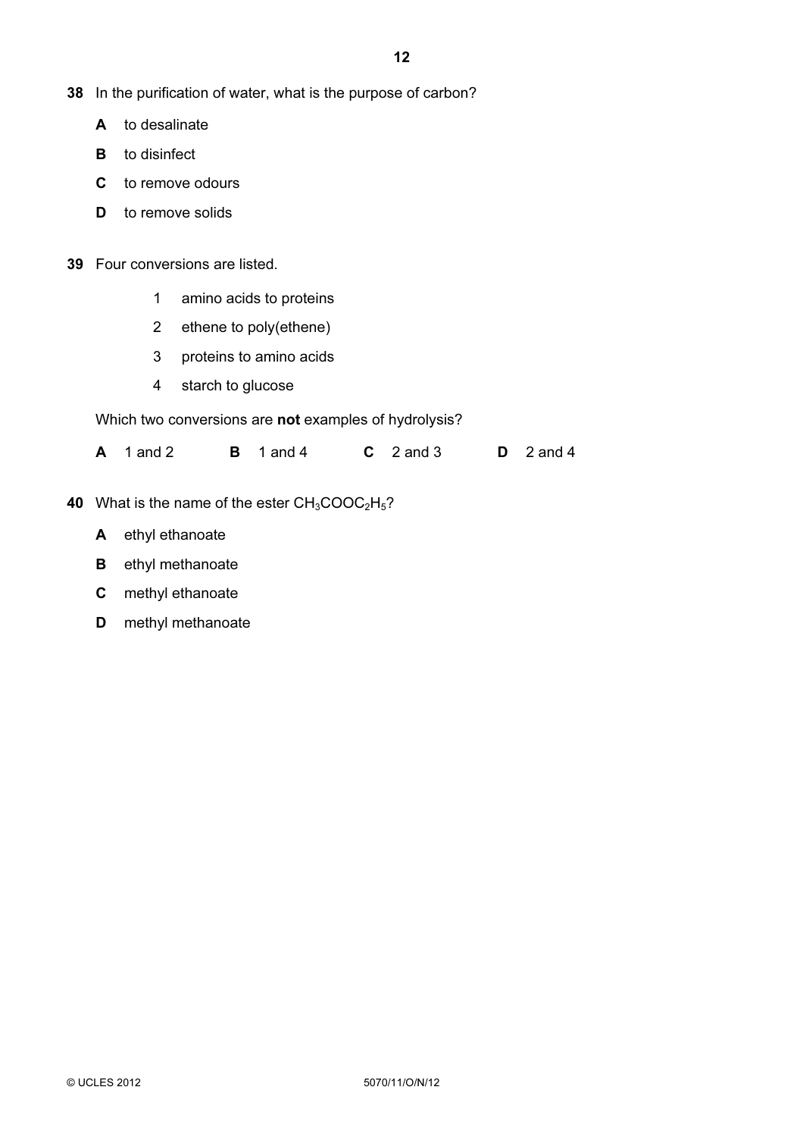- 38 In the purification of water, what is the purpose of carbon?
	- A to desalinate
	- **B** to disinfect
	- C to remove odours
	- **D** to remove solids
- 39 Four conversions are listed.
	- 1 amino acids to proteins
	- 2 ethene to poly(ethene)
	- 3 proteins to amino acids
	- 4 starch to glucose

Which two conversions are not examples of hydrolysis?

| $C$ 2 and 3<br>$A \quad 1$ and 2<br>$\mathbf{B}$ 1 and 4 |  | $D \quad 2$ and 4 |
|----------------------------------------------------------|--|-------------------|
|----------------------------------------------------------|--|-------------------|

- 40 What is the name of the ester  $CH<sub>3</sub>COOC<sub>2</sub>H<sub>5</sub>$ ?
	- A ethyl ethanoate
	- **B** ethyl methanoate
	- C methyl ethanoate
	- D methyl methanoate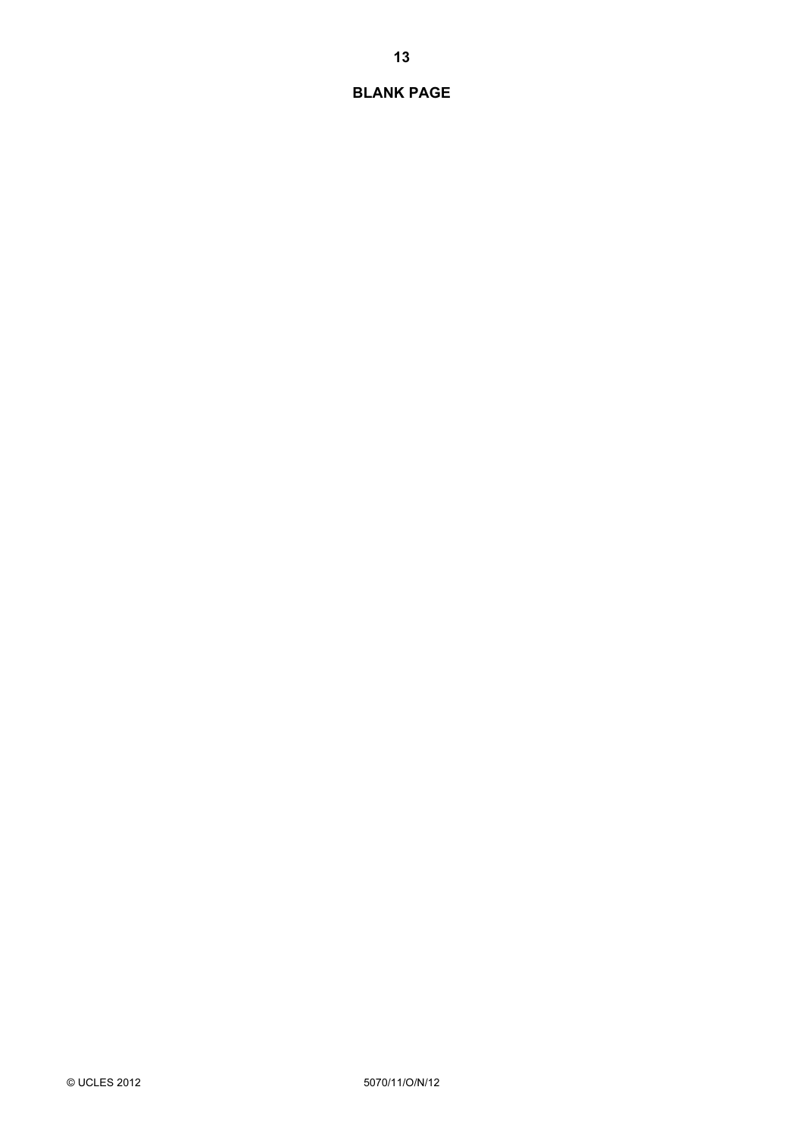# BLANK PAGE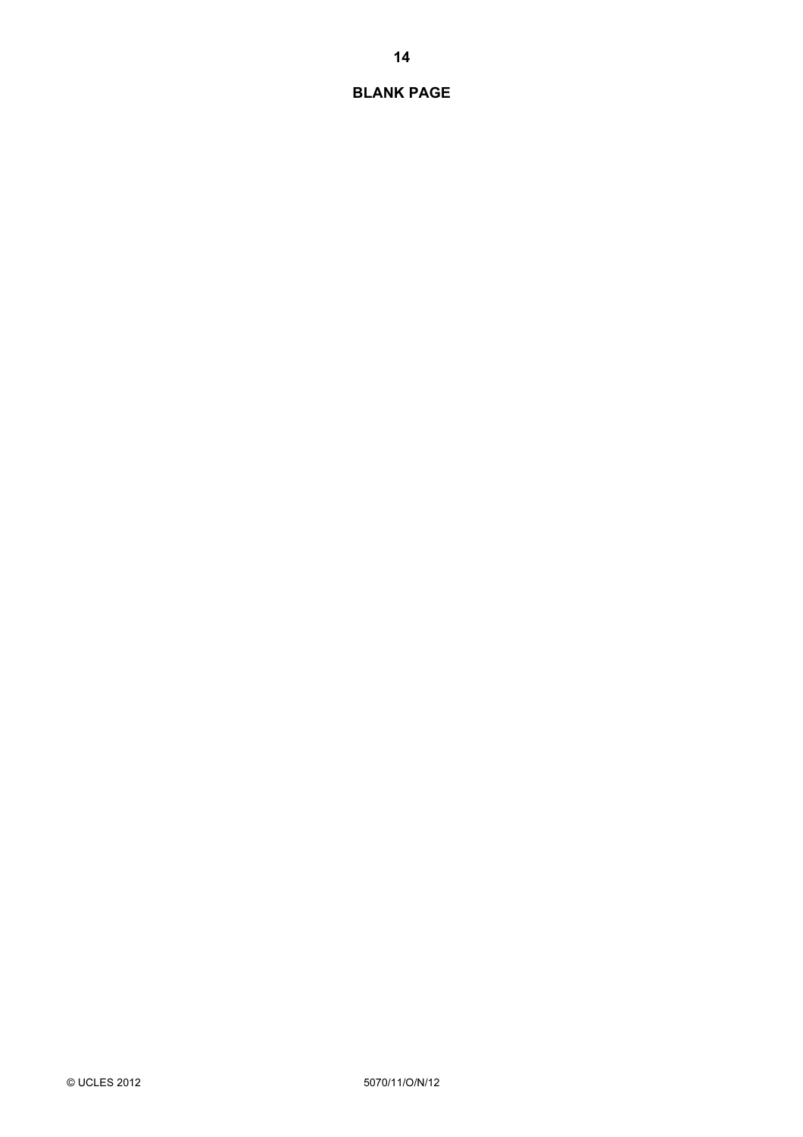# BLANK PAGE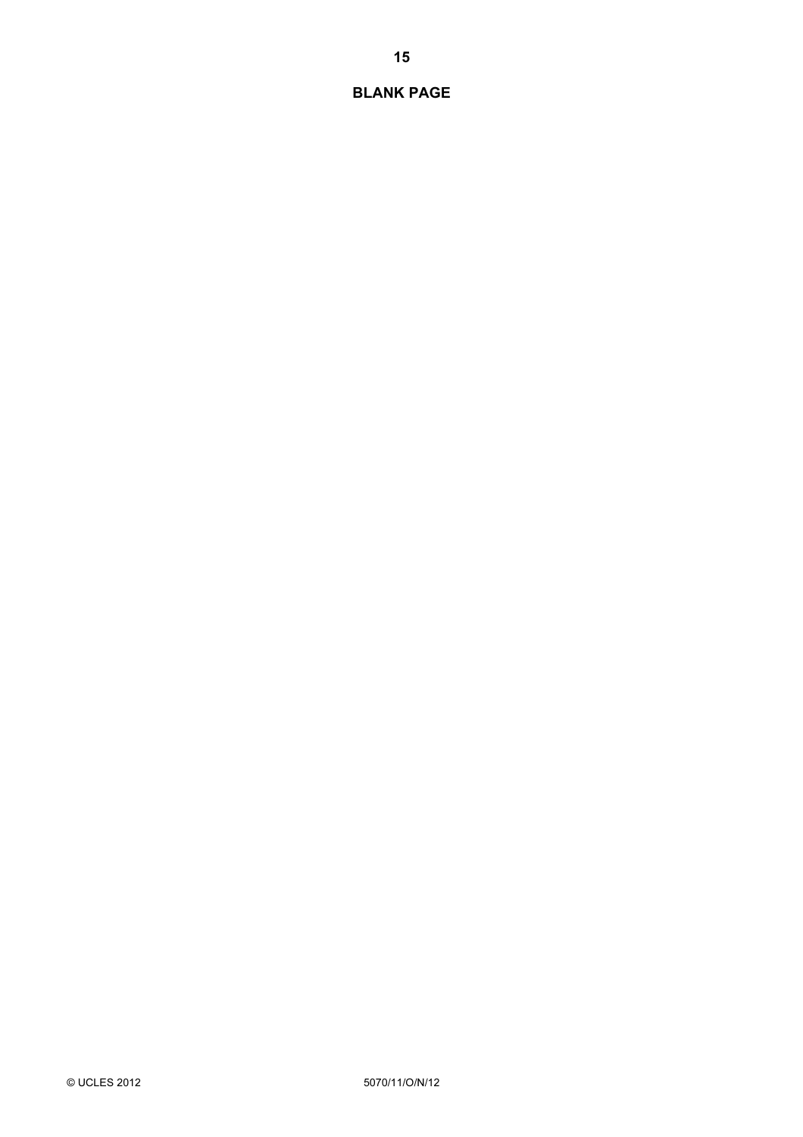# BLANK PAGE